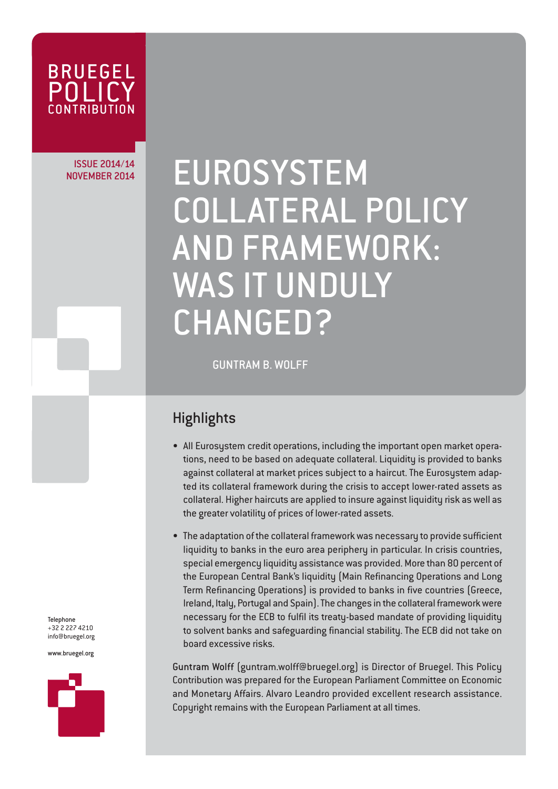

# ISSUE 2014/14

# NOVEMBER 2014 | EUROSYSTEM COLLATERAL POLICY AND FRAMEWORK: WAS IT UNDULY CHANGED?

GUNTRAM B. WOLFF

## **Highlights**

- All Eurosystem credit operations, including the important open market operations, need to be based on adequate collateral. Liquidity is provided to banks against collateral at market prices subject to a haircut. The Eurosystem adapted its collateral framework during the crisis to accept lower-rated assets as collateral. Higher haircuts are applied to insure against liquidity risk as well as the greater volatility of prices of lower-rated assets.
- The adaptation of the collateral framework was necessary to provide sufficient liquidity to banks in the euro area periphery in particular. In crisis countries, special emergency liquidity assistance was provided. More than 80 percent of the European Central Bank's liquidity (Main Refinancing Operations and Long Term Refinancing Operations) is provided to banks in five countries (Greece, Ireland, Italy, Portugal and Spain). The changes in the collateral framework were necessary for the ECB to fulfil its treaty-based mandate of providing liquidity to solvent banks and safeguarding financial stability. The ECB did not take on board excessive risks.

Guntram Wolff (guntram.wolff@bruegel.org) is Director of Bruegel. This Policy Contribution was prepared for the European Parliament Committee on Economic and Monetary Affairs. Alvaro Leandro provided excellent research assistance. Copyright remains with the European Parliament at all times.

Telephone +32 2 227 4210 info@bruegel.org

www.bruegel.org

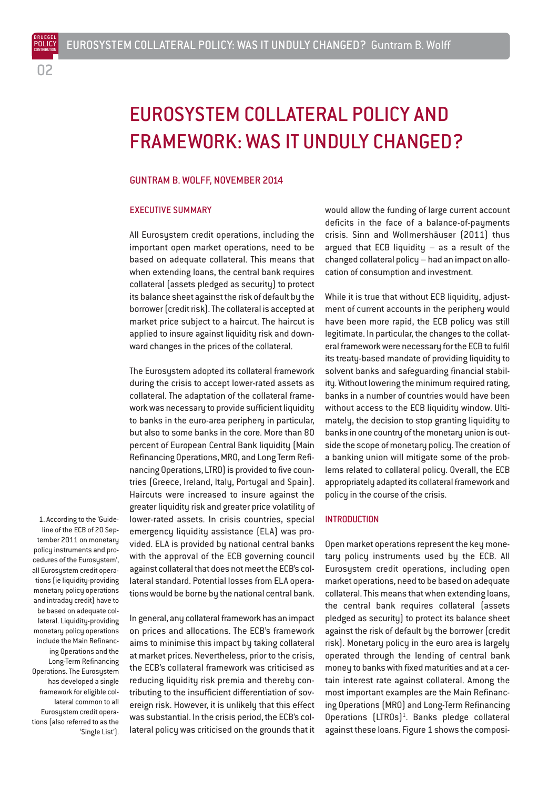BRUEGEL

# EUROSYSTEM COLLATERAL POLICY AND FRAMEWORK: WAS IT UNDULY CHANGED?

#### GUNTRAM B. WOLFF, NOVEMBER 2014

## EXECUTIVE SUMMARY

All Eurosystem credit operations, including the important open market operations, need to be based on adequate collateral. This means that when extending loans, the central bank requires collateral (assets pledged as security) to protect its balance sheet against the risk of default by the borrower (credit risk). The collateral is accepted at market price subject to a haircut. The haircut is applied to insure against liquidity risk and downward changes in the prices of the collateral.

The Eurosystem adopted its collateral framework during the crisis to accept lower-rated assets as collateral. The adaptation of the collateral framework was necessary to provide sufficient liquidity to banks in the euro-area periphery in particular, but also to some banks in the core. More than 80 percent of European Central Bank liquidity (Main Refinancing Operations, MRO, and Long Term Refinancing Operations, LTRO) is provided to five countries (Greece, Ireland, Italy, Portugal and Spain). Haircuts were increased to insure against the greater liquidity risk and greater price volatility of lower-rated assets. In crisis countries, special emergency liquidity assistance (ELA) was provided. ELA is provided by national central banks with the approval of the ECB governing council against collateral that does not meet the ECB's collateral standard. Potential losses from ELA operations would be borne by the national central bank.

In general, any collateral framework has an impact on prices and allocations. The ECB's framework aims to minimise this impact by taking collateral at market prices. Nevertheless, prior to the crisis, the ECB's collateral framework was criticised as reducing liquidity risk premia and thereby contributing to the insufficient differentiation of sovereign risk. However, it is unlikely that this effect was substantial. In the crisis period, the ECB's collateral policy was criticised on the grounds that it would allow the funding of large current account deficits in the face of a balance-of-payments crisis. Sinn and Wollmershäuser (2011) thus argued that ECB liquidity – as a result of the changed collateral policy – had an impact on allocation of consumption and investment.

While it is true that without ECB liquidity, adjustment of current accounts in the periphery would have been more rapid, the ECB policy was still legitimate. In particular, the changes to the collateral framework were necessary for the ECB to fulfil its treaty-based mandate of providing liquidity to solvent banks and safeguarding financial stability. Without lowering the minimum required rating, banks in a number of countries would have been without access to the ECB liquidity window. Ultimately, the decision to stop granting liquidity to banks in one country of the monetary union is outside the scope of monetary policy. The creation of a banking union will mitigate some of the problems related to collateral policy. Overall, the ECB appropriately adapted its collateral framework and policy in the course of the crisis.

## **INTRODUCTION**

Open market operations represent the key monetary policy instruments used by the ECB. All Eurosystem credit operations, including open market operations, need to be based on adequate collateral. This means that when extending loans, the central bank requires collateral (assets pledged as security) to protect its balance sheet against the risk of default by the borrower (credit risk). Monetary policy in the euro area is largely operated through the lending of central bank money to banks with fixed maturities and at a certain interest rate against collateral. Among the most important examples are the Main Refinancing Operations (MRO) and Long-Term Refinancing Operations (LTROs)<sup>1</sup>. Banks pledge collateral against these loans. Figure 1 shows the composi-

1. According to the 'Guideline of the ECB of 20 September 2011 on monetary policy instruments and procedures of the Eurosystem', all Eurosystem credit operations (ie liquidity-providing monetary policy operations and intraday credit) have to be based on adequate collateral. Liquidity-providing monetary policy operations include the Main Refinancing Operations and the Long-Term Refinancing Operations. The Eurosystem has developed a single framework for eligible collateral common to all Eurosystem credit operations (also referred to as the 'Single List').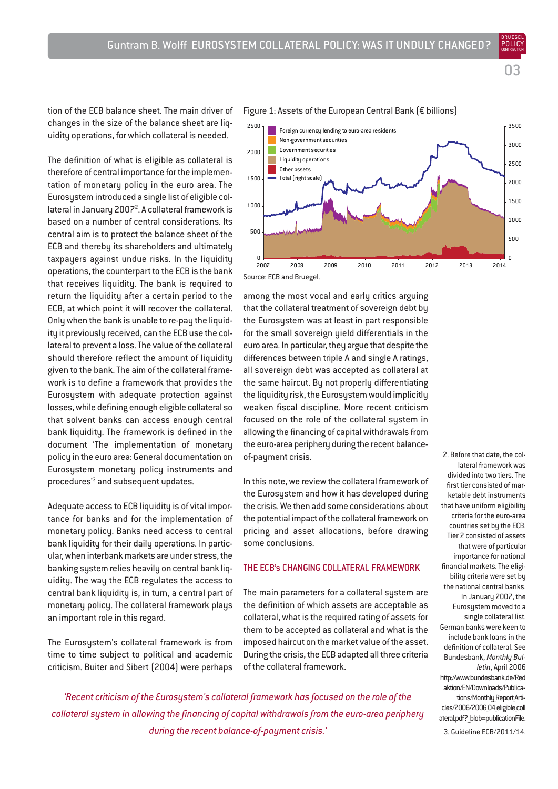BRUEGEL

tion of the ECB balance sheet. The main driver of changes in the size of the balance sheet are liquidity operations, for which collateral is needed.

The definition of what is eligible as collateral is therefore of central importance for the implementation of monetary policy in the euro area. The Eurosystem introduced a single list of eligible collateral in January 2007<sup>2</sup>. A collateral framework is based on a number of central considerations. Its central aim is to protect the balance sheet of the ECB and thereby its shareholders and ultimately taxpayers against undue risks. In the liquidity operations, the counterpart to the ECB is the bank that receives liquidity. The bank is required to return the liquidity after a certain period to the ECB, at which point it will recover the collateral. Only when the bank is unable to re-pay the liquidity it previously received, can the ECB use the collateral to prevent a loss. The value of the collateral should therefore reflect the amount of liquidity given to the bank. The aim of the collateral framework is to define a framework that provides the Eurosystem with adequate protection against losses, while defining enough eligible collateral so that solvent banks can access enough central bank liquidity. The framework is defined in the document 'The implementation of monetary policy in the euro area: General documentation on Eurosystem monetary policy instruments and procedures'3 and subsequent updates.

Adequate access to ECB liquidity is of vital importance for banks and for the implementation of monetary policy. Banks need access to central bank liquidity for their daily operations. In particular, when interbank markets are under stress, the banking system relies heavily on central bank liquidity. The way the ECB regulates the access to central bank liquidity is, in turn, a central part of monetary policy. The collateral framework plays an important role in this regard.

The Eurosystem's collateral framework is from time to time subject to political and academic criticism. Buiter and Sibert (2004) were perhaps

## Figure 1: Assets of the European Central Bank (€ billions)



among the most vocal and early critics arguing that the collateral treatment of sovereign debt by the Eurosystem was at least in part responsible for the small sovereign yield differentials in the euro area. In particular, they argue that despite the differences between triple A and single A ratings, all sovereign debt was accepted as collateral at the same haircut. By not properly differentiating the liquidity risk, the Eurosystem would implicitly weaken fiscal discipline. More recent criticism focused on the role of the collateral system in allowing the financing of capital withdrawals from the euro-area periphery during the recent balanceof-payment crisis.

In this note, we review the collateral framework of the Eurosustem and how it has developed during the crisis. We then add some considerations about the potential impact of the collateral framework on pricing and asset allocations, before drawing some conclusions.

## THE ECB's CHANGING COLLATERAL FRAMEWORK

The main parameters for a collateral system are the definition of which assets are acceptable as collateral, what is the required rating of assets for them to be accepted as collateral and what is the imposed haircut on the market value of the asset. During the crisis, the ECB adapted all three criteria of the collateral framework.

2. Before that date, the collateral framework was divided into two tiers. The first tier consisted of marketable debt instruments that have uniform eligibility criteria for the euro-area countries set by the ECB. Tier 2 consisted of assets that were of particular importance for national financial markets. The eligibility criteria were set by the national central banks. In January 2007, the Eurosystem moved to a single collateral list. German banks were keen to include bank loans in the definition of collateral. See Bundesbank, *Monthly Bulletin*, April 2006 http://www.bundesbank.de/Red aktion/EN/Downloads/Publications/Monthly Report Articles/2006/2006 04 eligible coll ateral.pdf? blob=publicationFile.

3. Guideline ECB/2011/14.

*'Recent criticism of the Eurosystem's collateral framework has focused on the role of the collateral system in allowing the financing of capital withdrawals from the euro-area periphery during the recent balance-of-payment crisis.'*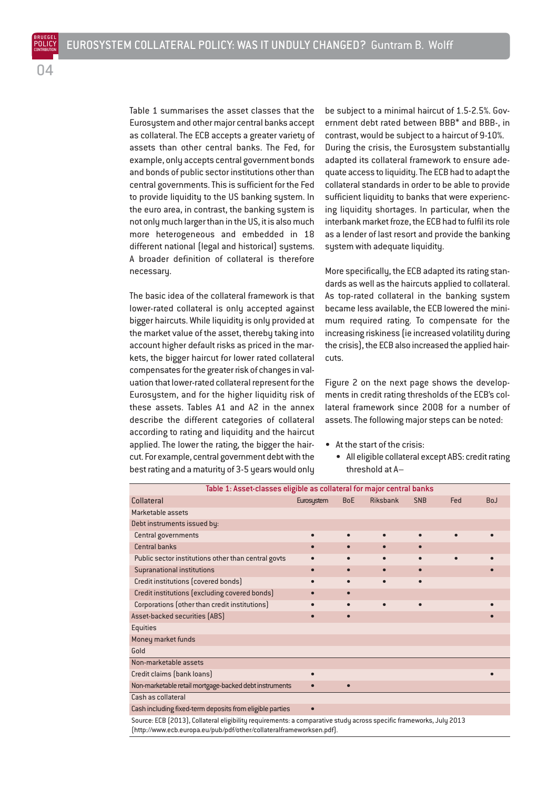Table 1 summarises the asset classes that the Eurosystem and other major central banks accept as collateral. The ECB accepts a greater variety of assets than other central banks. The Fed, for example, only accepts central government bonds and bonds of public sector institutions other than central governments. This is sufficient for the Fed to provide liquidity to the US banking system. In the euro area, in contrast, the banking system is not only much larger than in the US, it is also much more heterogeneous and embedded in 18 different national (legal and historical) systems. A broader definition of collateral is therefore necessary.

The basic idea of the collateral framework is that lower-rated collateral is only accepted against bigger haircuts. While liquidity is only provided at the market value of the asset, thereby taking into account higher default risks as priced in the markets, the bigger haircut for lower rated collateral compensates for the greater risk of changes in valuation that lower-rated collateral represent for the Eurosystem, and for the higher liquidity risk of these assets. Tables A1 and A2 in the annex describe the different categories of collateral according to rating and liquidity and the haircut applied. The lower the rating, the bigger the haircut. For example, central government debt with the best rating and a maturity of 3-5 years would only

(http://www.ecb.europa.eu/pub/pdf/other/collateralframeworksen.pdf).

be subject to a minimal haircut of 1.5-2.5%. Government debt rated between BBB\* and BBB-, in contrast, would be subject to a haircut of 9-10%. During the crisis, the Eurosystem substantially adapted its collateral framework to ensure adequate access to liquidity. The ECB had to adapt the collateral standards in order to be able to provide sufficient liquidity to banks that were experiencing liquidity shortages. In particular, when the interbank market froze, the ECB had to fulfil its role as a lender of last resort and provide the banking system with adequate liquidity.

More specifically, the ECB adapted its rating standards as well as the haircuts applied to collateral. As top-rated collateral in the banking system became less available, the ECB lowered the minimum required rating. To compensate for the increasing riskiness (ie increased volatility during the crisis), the ECB also increased the applied haircuts.

Figure 2 on the next page shows the developments in credit rating thresholds of the ECB's collateral framework since 2008 for a number of assets. The following major steps can be noted:

- At the start of the crisis:
	- All eligible collateral except ABS: credit rating threshold at A–

| Table 1: Asset-classes eligible as collateral for major central banks                                              |            |            |                 |            |     |            |  |
|--------------------------------------------------------------------------------------------------------------------|------------|------------|-----------------|------------|-----|------------|--|
| <b>Collateral</b>                                                                                                  | Eurosystem | <b>BoE</b> | <b>Riksbank</b> | <b>SNB</b> | Fed | <b>BoJ</b> |  |
| Marketable assets                                                                                                  |            |            |                 |            |     |            |  |
| Debt instruments issued by:                                                                                        |            |            |                 |            |     |            |  |
| Central governments                                                                                                |            |            |                 |            |     |            |  |
| <b>Central banks</b>                                                                                               |            |            |                 | $\bullet$  |     |            |  |
| Public sector institutions other than central govts                                                                |            |            |                 | $\bullet$  |     |            |  |
| <b>Supranational institutions</b>                                                                                  |            | $\bullet$  | $\bullet$       | $\bullet$  |     |            |  |
| Credit institutions (covered bonds)                                                                                |            |            |                 |            |     |            |  |
| Credit institutions (excluding covered bonds)                                                                      |            |            |                 |            |     |            |  |
| Corporations (other than credit institutions)                                                                      |            |            | $\bullet$       | $\bullet$  |     |            |  |
| Asset-backed securities [ABS]                                                                                      |            | $\bullet$  |                 |            |     |            |  |
| <b>Equities</b>                                                                                                    |            |            |                 |            |     |            |  |
| Money market funds                                                                                                 |            |            |                 |            |     |            |  |
| Gold                                                                                                               |            |            |                 |            |     |            |  |
| Non-marketable assets                                                                                              |            |            |                 |            |     |            |  |
| Credit claims (bank loans)                                                                                         |            |            |                 |            |     |            |  |
| Non-marketable retail mortgage-backed debt instruments                                                             |            |            |                 |            |     |            |  |
| Cash as collateral                                                                                                 |            |            |                 |            |     |            |  |
| Cash including fixed-term deposits from eligible parties                                                           |            |            |                 |            |     |            |  |
| Source: ECB (2013), Collateral eligibility requirements: a comparative study across specific frameworks, July 2013 |            |            |                 |            |     |            |  |

POLICY **CONTRIBUTION**  $\cap$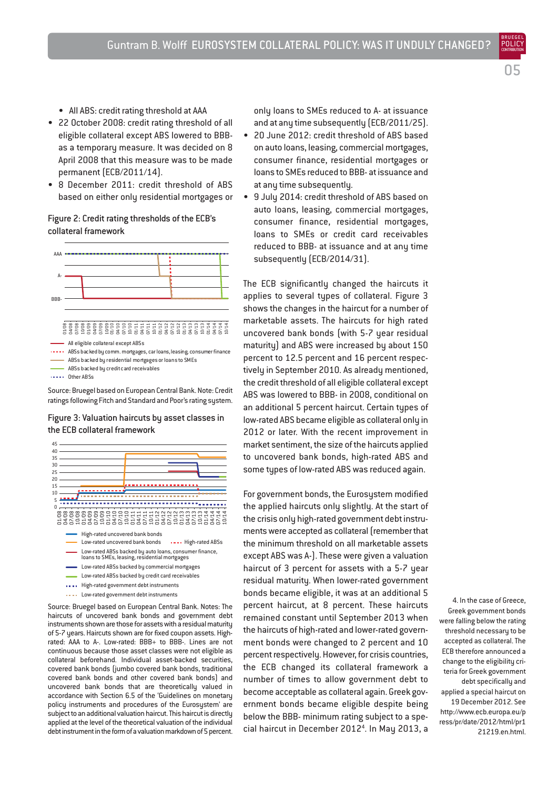**CONTRIBUTION** 05

POLICY

- All ABS: credit rating threshold at AAA
- 22 October 2008: credit rating threshold of all eligible collateral except ABS lowered to BBBas a temporary measure. It was decided on 8 April 2008 that this measure was to be made permanent (ECB/2011/14).
- 8 December 2011: credit threshold of ABS based on either only residential mortgages or

## Figure 2: Credit rating thresholds of the ECB's collateral framework



Source: Bruegel based on European Central Bank. Note: Credit ratings following Fitch and Standard and Poor's rating system.

Figure 3: Valuation haircuts by asset classes in the ECB collateral framework



- 
- Low-rated ABSs backed by commercial mortgages Low-rated ABSs backed by credit card receivables
- .... High-rated government debt instruments
- .... Low-rated government debt instruments

Source: Bruegel based on European Central Bank. Notes: The haircuts of uncovered bank bonds and government debt instruments shown are those for assets with a residual maturity of 5-7 years. Haircuts shown are for fixed coupon assets. Highrated: AAA to A-. Low-rated: BBB+ to BBB-. Lines are not continuous because those asset classes were not eligible as collateral beforehand. Individual asset-backed securities, covered bank bonds (jumbo covered bank bonds, traditional covered bank bonds and other covered bank bonds) and uncovered bank bonds that are theoretically valued in accordance with Section 6.5 of the 'Guidelines on monetary policy instruments and procedures of the Eurosystem' are subject to an additional valuation haircut. This haircut is directly applied at the level of the theoretical valuation of the individual debt instrument in the form of a valuation markdown of 5 percent. only loans to SMEs reduced to A- at issuance and at any time subsequently (ECB/2011/25).

- 20 June 2012: credit threshold of ABS based on auto loans, leasing, commercial mortgages, consumer finance, residential mortgages or loans to SMEs reduced to BBB- at issuance and at any time subsequently.
- 9 July 2014: credit threshold of ABS based on auto loans, leasing, commercial mortgages, consumer finance, residential mortgages, loans to SMEs or credit card receivables reduced to BBB- at issuance and at any time subsequently (ECB/2014/31).

The ECB significantly changed the haircuts it applies to several types of collateral. Figure 3 shows the changes in the haircut for a number of marketable assets. The haircuts for high rated uncovered bank bonds (with 5-7 year residual maturity) and ABS were increased by about 150 percent to 12.5 percent and 16 percent respectively in September 2010. As already mentioned, the credit threshold of all eligible collateral except ABS was lowered to BBB- in 2008, conditional on an additional 5 percent haircut. Certain tupes of low-rated ABS became eligible as collateral only in 2012 or later. With the recent improvement in market sentiment, the size of the haircuts applied to uncovered bank bonds, high-rated ABS and some types of low-rated ABS was reduced again.

For government bonds, the Eurosystem modified the applied haircuts only slightly. At the start of the crisis only high-rated government debt instruments were accepted as collateral (remember that the minimum threshold on all marketable assets except ABS was A-). These were given a valuation haircut of 3 percent for assets with a 5-7 year residual maturity. When lower-rated government bonds became eligible, it was at an additional 5 percent haircut, at 8 percent. These haircuts remained constant until September 2013 when the haircuts of high-rated and lower-rated government bonds were changed to 2 percent and 10 percent respectively. However, for crisis countries, the ECB changed its collateral framework a number of times to allow government debt to become acceptable as collateral again. Greek government bonds became eligible despite being below the BBB- minimum rating subject to a special haircut in December 2012<sup>4</sup>. In May 2013, a

4. In the case of Greece, Greek government bonds were falling below the rating threshold necessary to be accepted as collateral. The ECB therefore announced a change to the eligibility criteria for Greek government debt specifically and applied a special haircut on 19 December 2012. See http://www.ecb.europa.eu/p ress/pr/date/2012/html/pr1 21219.en.html.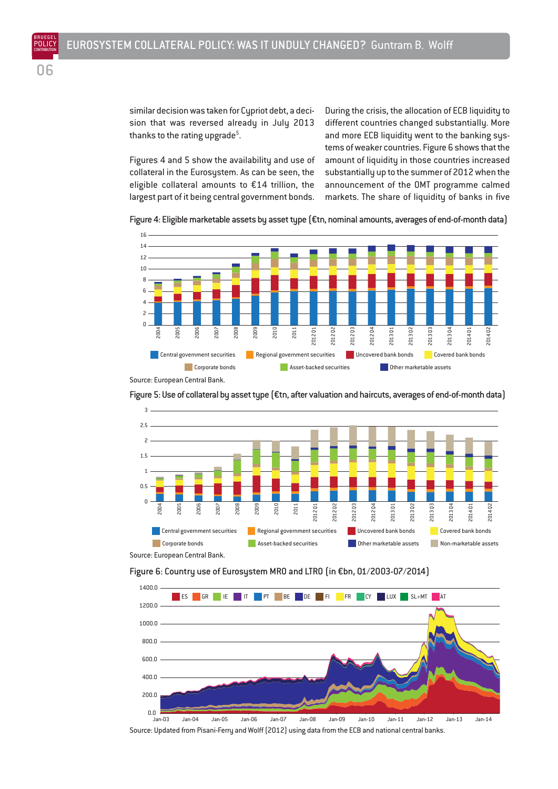similar decision was taken for Cypriot debt, a decision that was reversed already in July 2013 thanks to the rating upgrade $5$ . .

Figures 4 and 5 show the availability and use of collateral in the Eurosystem. As can be seen, the eligible collateral amounts to €14 trillion, the largest part of it being central government bonds. During the crisis, the allocation of ECB liquidity to different countries changed substantially. More and more ECB liquidity went to the banking systems of weaker countries. Figure 6 shows that the amount of liquidity in those countries increased substantially up to the summer of 2012 when the announcement of the OMT programme calmed markets. The share of liquidity of banks in five





Source: European Central Bank.

Figure 5: Use of collateral by asset type (€tn, after valuation and haircuts, averages of end-of-month data)







Source: Updated from Pisani-Ferry and Wolff (2012) using data from the ECB and national central banks.

06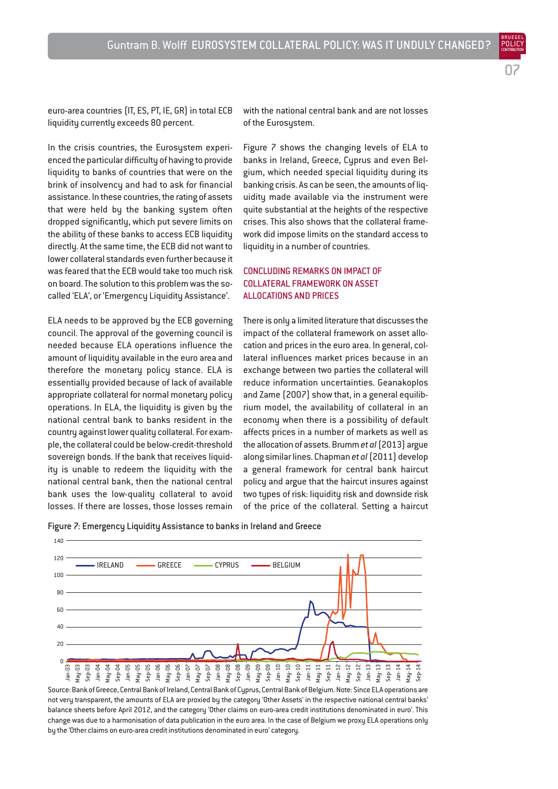euro-area countries (IT, ES, PT, IE, GR) in total ECB liquidity currently exceeds 80 percent.

In the crisis countries, the Eurosystem experienced the particular difficulty of having to provide liquidity to banks of countries that were on the brink of insolvency and had to ask for financial assistance. In these countries, the rating of assets that were held by the banking system often dropped significantly, which put severe limits on the ability of these banks to access ECB liquidity directly. At the same time, the ECB did not want to lower collateral standards even further because it was feared that the ECB would take too much risk on board. The solution to this problem was the socalled 'ELA', or 'Emergency Liquidity Assistance'.

ELA needs to be approved by the ECB governing council. The approval of the governing council is needed because ELA operations influence the amount of liquidity available in the euro area and therefore the monetary policy stance. ELA is essentially provided because of lack of available appropriate collateral for normal monetary policy operations. In ELA, the liquidity is given by the national central bank to banks resident in the country against lower quality collateral. For example, the collateral could be below-credit-threshold sovereign bonds. If the bank that receives liquidity is unable to redeem the liquidity with the national central bank, then the national central bank uses the low-quality collateral to avoid losses. If there are losses, those losses remain with the national central bank and are not losses of the Eurosustem.

07

BRUEGEL

Figure 7 shows the changing levels of ELA to banks in Ireland, Greece, Cyprus and even Belgium, which needed special liquidity during its banking crisis. As can be seen, the amounts of liquidity made available via the instrument were quite substantial at the heights of the respective crises. This also shows that the collateral framework did impose limits on the standard access to liquidity in a number of countries.

## CONCLUDING REMARKS ON IMPACT OF COLLATERAL FRAMEWORK ON ASSET ALLOCATIONS AND PRICES

There is only a limited literature that discusses the impact of the collateral framework on asset allocation and prices in the euro area. In general, collateral influences market prices because in an exchange between two parties the collateral will reduce information uncertainties. Geanakoplos and Zame (2007) show that, in a general equilibrium model, the availability of collateral in an economy when there is a possibility of default affects prices in a number of markets as well as the allocation of assets. Brumm *et al*(2013) argue along similar lines. Chapman *et al*(2011) develop a general framework for central bank haircut policy and argue that the haircut insures against two types of risk: liquidity risk and downside risk of the price of the collateral. Setting a haircut

Figure 7: Emergency Liquidity Assistance to banks in Ireland and Greece



Source: Bank of Greece, Central Bank of Ireland, Central Bank of Cyprus, Central Bank of Belgium. Note: Since ELA operations are not very transparent, the amounts of ELA are proxied by the category 'Other Assets' in the respective national central banks' balance sheets before April 2012, and the category 'Other claims on euro-area credit institutions denominated in euro'. This change was due to a harmonisation of data publication in the euro area. In the case of Belgium we proxy ELA operations only by the 'Other claims on euro-area credit institutions denominated in euro' category.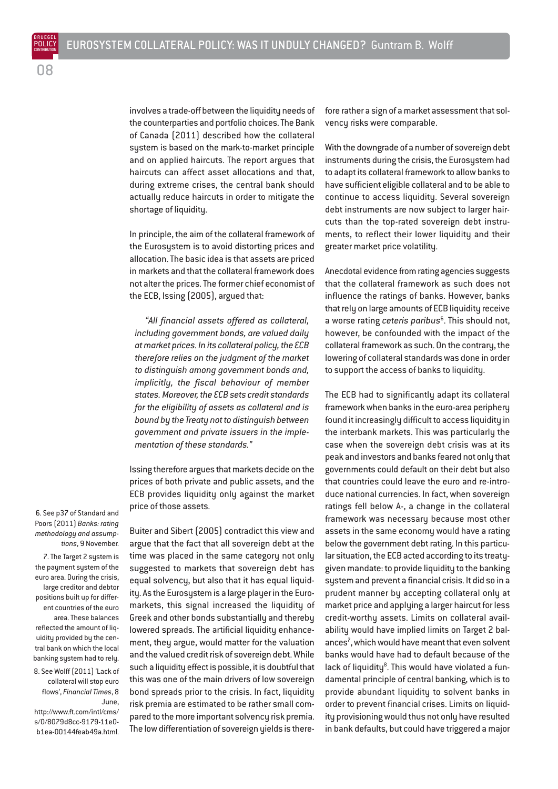involves a trade-off between the liquidity needs of the counterparties and portfolio choices. The Bank of Canada (2011) described how the collateral system is based on the mark-to-market principle and on applied haircuts. The report argues that haircuts can affect asset allocations and that, during extreme crises, the central bank should actually reduce haircuts in order to mitigate the shortage of liquidity.

In principle, the aim of the collateral framework of the Eurosystem is to avoid distorting prices and allocation. The basic idea is that assets are priced in markets and that the collateral framework does not alter the prices. The former chief economist of the ECB, Issing (2005), argued that:

*"All financial assets offered as collateral, including government bonds, are valued daily at market prices. In its collateral policy, the ECB therefore relies on the judgment of the market to distinguish among government bonds and, implicitly, the fiscal behaviour of member states. Moreover, the ECB sets credit standards for the eligibility of assets as collateral and is bound by the Treaty not to distinguish between government and private issuers in the implementation of these standards."*

Issing therefore argues that markets decide on the prices of both private and public assets, and the ECB provides liquidity only against the market price of those assets.

Buiter and Sibert (2005) contradict this view and argue that the fact that all sovereign debt at the time was placed in the same category not only suggested to markets that sovereign debt has equal solvency, but also that it has equal liquidity. As the Eurosystem is a large player in the Euromarkets, this signal increased the liquidity of Greek and other bonds substantially and thereby lowered spreads. The artificial liquidity enhancement, they argue, would matter for the valuation and the valued credit risk of sovereign debt. While such a liquidity effect is possible, it is doubtful that this was one of the main drivers of low sovereign bond spreads prior to the crisis. In fact, liquidity risk premia are estimated to be rather small compared to the more important solvency risk premia. The low differentiation of sovereign yields is therefore rather a sign of a market assessment that solvency risks were comparable.

With the downgrade of a number of sovereign debt instruments during the crisis, the Eurosystem had to adapt its collateral framework to allow banks to have sufficient eligible collateral and to be able to continue to access liquidity. Several sovereign debt instruments are now subject to larger haircuts than the top-rated sovereign debt instruments, to reflect their lower liquidity and their greater market price volatility.

Anecdotal evidence from rating agencies suggests that the collateral framework as such does not influence the ratings of banks. However, banks that rely on large amounts of ECB liquidity receive a worse rating *ceteris paribus*<sup>6</sup> . This should not, however, be confounded with the impact of the collateral framework as such. On the contrary, the lowering of collateral standards was done in order to support the access of banks to liquidity.

The ECB had to significantly adapt its collateral framework when banks in the euro-area periphery found it increasingly difficult to access liquidity in the interbank markets. This was particularly the case when the sovereign debt crisis was at its peak and investors and banks feared not only that governments could default on their debt but also that countries could leave the euro and re-introduce national currencies. In fact, when sovereign ratings fell below A-, a change in the collateral framework was necessary because most other assets in the same economy would have a rating below the government debt rating. In this particular situation, the ECB acted according to its treatygiven mandate: to provide liquidity to the banking system and prevent a financial crisis. It did so in a prudent manner by accepting collateral only at market price and applying a larger haircut for less credit-worthy assets. Limits on collateral availability would have implied limits on Target 2 balances<sup>7</sup>, which would have meant that even solvent banks would have had to default because of the lack of liquidity<sup>8</sup>. This would have violated a fundamental principle of central banking, which is to provide abundant liquidity to solvent banks in order to prevent financial crises. Limits on liquidity provisioning would thus not only have resulted in bank defaults, but could have triggered a major

6. See p37 of Standard and Poors (2011) *Banks: rating methodology and assumptions*, 9 November. 7. The Target 2 system is the payment system of the euro area. During the crisis, large creditor and debtor positions built up for different countries of the euro area. These balances reflected the amount of liquidity provided by the central bank on which the local banking system had to rely. 8. See Wolff (2011) 'Lack of

collateral will stop euro flows', *Financial Times*, 8 June, http://www.ft.com/intl/cms/

s/0/8079d8cc-9179-11e0 b1ea-00144feab49a.html.

08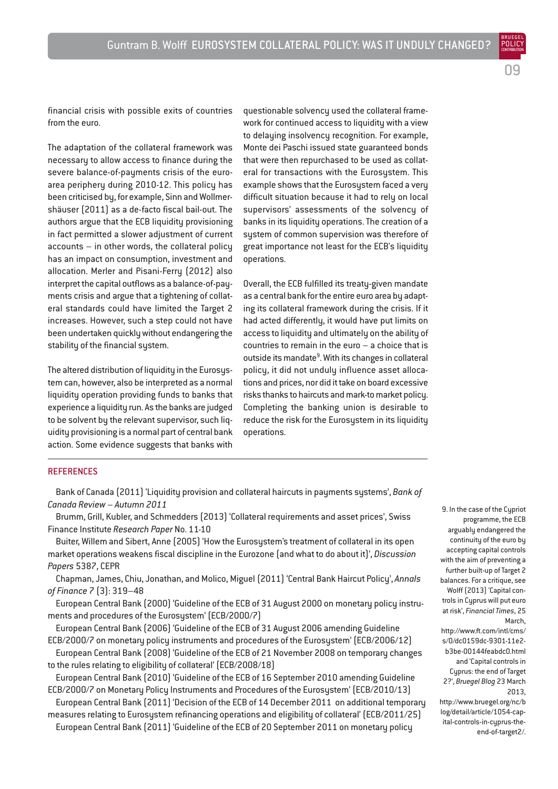09

BRUEGEL

financial crisis with possible exits of countries from the euro.

The adaptation of the collateral framework was necessary to allow access to finance during the severe balance-of-payments crisis of the euroarea periphery during 2010-12. This policy has been criticised by, for example, Sinn and Wollmershäuser (2011) as a de-facto fiscal bail-out. The authors argue that the ECB liquidity provisioning in fact permitted a slower adjustment of current accounts – in other words, the collateral policy has an impact on consumption, investment and allocation. Merler and Pisani-Ferry (2012) also interpret the capital outflows as a balance-of-payments crisis and argue that a tightening of collateral standards could have limited the Target 2 increases. However, such a step could not have been undertaken quickly without endangering the stability of the financial system.

The altered distribution of liquidity in the Eurosystem can, however, also be interpreted as a normal liquidity operation providing funds to banks that experience a liquidity run. As the banks are judged to be solvent by the relevant supervisor, such liquidity provisioning is a normal part of central bank action. Some evidence suggests that banks with

questionable solvency used the collateral framework for continued access to liquidity with a view to delaying insolvency recognition. For example, Monte dei Paschi issued state guaranteed bonds that were then repurchased to be used as collateral for transactions with the Eurosystem. This example shows that the Eurosystem faced a very difficult situation because it had to rely on local supervisors' assessments of the solvency of banks in its liquidity operations. The creation of a system of common supervision was therefore of great importance not least for the ECB's liquidity operations.

Overall, the ECB fulfilled its treaty-given mandate as a central bank for the entire euro area by adapting its collateral framework during the crisis. If it had acted differently, it would have put limits on access to liquidity and ultimately on the ability of countries to remain in the euro – a choice that is outside its mandate<sup>9</sup>. With its changes in collateral policy, it did not unduly influence asset allocations and prices, nor did it take on board excessive risks thanks to haircuts and mark-to market policy. Completing the banking union is desirable to reduce the risk for the Eurosystem in its liquidity operations.

## **REFERENCES**

Bank of Canada (2011) 'Liquidity provision and collateral haircuts in payments systems', *Bank of Canada Review – Autumn 2011*

Brumm, Grill, Kubler, and Schmedders (2013) 'Collateral requirements and asset prices', Swiss Finance Institute *Research Paper* No. 11-10

Buiter, Willem and Sibert, Anne (2005) 'How the Eurosystem's treatment of collateral in its open market operations weakens fiscal discipline in the Eurozone (and what to do about it)', *Discussion Papers* 5387, CEPR

Chapman, James, Chiu, Jonathan, and Molico, Miguel (2011) 'Central Bank Haircut Policy', *Annals of Finance* 7 (3): 319–48

European Central Bank (2000) 'Guideline of the ECB of 31 August 2000 on monetary policy instruments and procedures of the Eurosystem' (ECB/2000/7)

European Central Bank (2006) 'Guideline of the ECB of 31 August 2006 amending Guideline ECB/2000/7 on monetary policy instruments and procedures of the Eurosystem' (ECB/2006/12)

European Central Bank (2008) 'Guideline of the ECB of 21 November 2008 on temporary changes to the rules relating to eligibility of collateral' (ECB/2008/18)

European Central Bank (2010) 'Guideline of the ECB of 16 September 2010 amending Guideline ECB/2000/7 on Monetary Policy Instruments and Procedures of the Eurosystem' (ECB/2010/13)

European Central Bank (2011) 'Decision of the ECB of 14 December 2011 on additional temporary measures relating to Eurosystem refinancing operations and eligibility of collateral' (ECB/2011/25) European Central Bank (2011) 'Guideline of the ECB of 20 September 2011 on monetary policy

9. In the case of the Cypriot programme, the ECB arguably endangered the continuity of the euro by accepting capital controls with the aim of preventing a further built-up of Target 2 balances. For a critique, see Wolff (2013) 'Capital controls in Cyprus will put euro at risk', *Financial Times*, 25 March,

http://www.ft.com/intl/cms/ s/0/dc0159dc-9301-11e2 b3be-00144feabdc0.html and 'Capital controls in Cyprus: the end of Target 2?', *Bruegel Blog* 23 March 2013,

http://www.bruegel.org/nc/b log/detail/article/1054-capital-controls-in-cyprus-theend-of-target2/.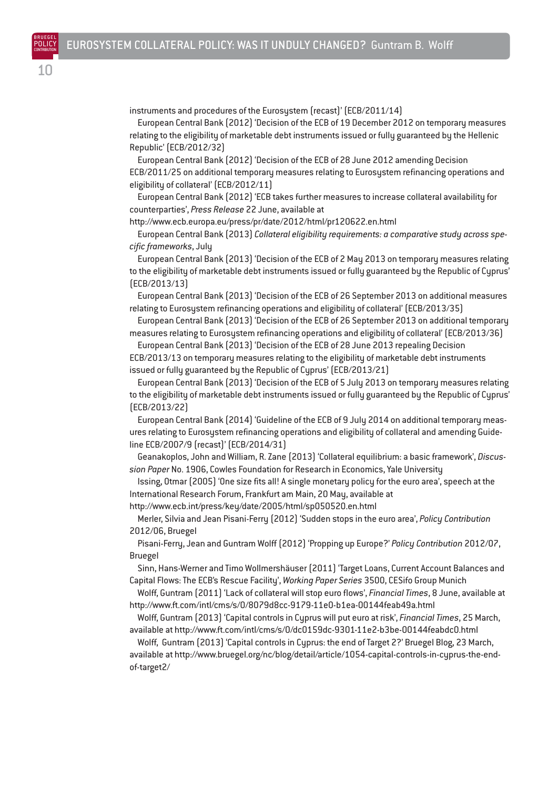instruments and procedures of the Eurosystem (recast)' (ECB/2011/14)

European Central Bank (2012) 'Decision of the ECB of 19 December 2012 on temporary measures relating to the eligibility of marketable debt instruments issued or fully guaranteed by the Hellenic Republic' (ECB/2012/32)

European Central Bank (2012) 'Decision of the ECB of 28 June 2012 amending Decision ECB/2011/25 on additional temporary measures relating to Eurosystem refinancing operations and eligibility of collateral' (ECB/2012/11)

European Central Bank (2012) 'ECB takes further measures to increase collateral availability for counterparties', *Press Release* 22 June, available at

http://www.ecb.europa.eu/press/pr/date/2012/html/pr120622.en.html

European Central Bank (2013) *Collateral eligibility requirements: a comparative study across specific frameworks*, July

European Central Bank (2013) 'Decision of the ECB of 2 May 2013 on temporary measures relating to the eligibility of marketable debt instruments issued or fully guaranteed by the Republic of Cyprus' (ECB/2013/13)

European Central Bank (2013) 'Decision of the ECB of 26 September 2013 on additional measures relating to Eurosystem refinancing operations and eligibility of collateral' (ECB/2013/35)

European Central Bank (2013) 'Decision of the ECB of 26 September 2013 on additional temporary measures relating to Eurosystem refinancing operations and eligibility of collateral' (ECB/2013/36)

European Central Bank (2013) 'Decision of the ECB of 28 June 2013 repealing Decision ECB/2013/13 on temporary measures relating to the eligibility of marketable debt instruments issued or fully guaranteed by the Republic of Cyprus' (ECB/2013/21)

European Central Bank (2013) 'Decision of the ECB of 5 July 2013 on temporary measures relating to the eligibility of marketable debt instruments issued or fully guaranteed by the Republic of Cyprus' (ECB/2013/22)

European Central Bank (2014) 'Guideline of the ECB of 9 July 2014 on additional temporary measures relating to Eurosystem refinancing operations and eligibility of collateral and amending Guideline ECB/2007/9 (recast)' (ECB/2014/31)

Geanakoplos, John and William, R. Zane (2013) 'Collateral equilibrium: a basic framework', *Discussion Paper* No. 1906, Cowles Foundation for Research in Economics, Yale University

Issing, Otmar (2005) 'One size fits all! A single monetary policy for the euro area', speech at the International Research Forum, Frankfurt am Main, 20 May, available at http://www.ecb.int/press/key/date/2005/html/sp050520.en.html

Merler, Silvia and Jean Pisani-Ferry (2012) 'Sudden stops in the euro area', *Policy Contribution* 2012/06, Bruegel

Pisani-Ferry, Jean and Guntram Wolff (2012) 'Propping up Europe?' *Policy Contribution* 2012/07, Bruegel

Sinn, Hans-Werner and Timo Wollmershäuser (2011) 'Target Loans, Current Account Balances and Capital Flows: The ECB's Rescue Facility', *Working Paper Series* 3500, CESifo Group Munich

Wolff, Guntram (2011) 'Lack of collateral will stop euro flows', *Financial Times*, 8 June, available at http://www.ft.com/intl/cms/s/0/8079d8cc-9179-11e0-b1ea-00144feab49a.html

Wolff, Guntram (2013) 'Capital controls in Cyprus will put euro at risk', *Financial Times*, 25 March, available at http://www.ft.com/intl/cms/s/0/dc0159dc-9301-11e2-b3be-00144feabdc0.html

Wolff, Guntram (2013) 'Capital controls in Cyprus: the end of Target 2?' Bruegel Blog, 23 March, available at http://www.bruegel.org/nc/blog/detail/article/1054-capital-controls-in-cyprus-the-endof-target2/

BRUEGEL POLICY